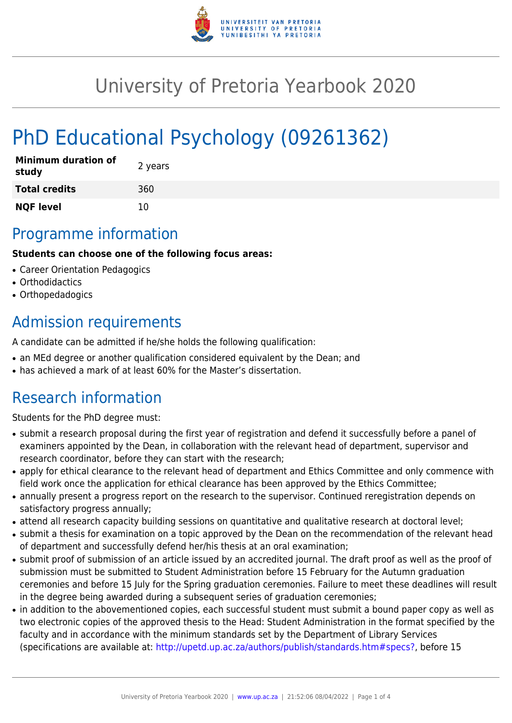

## University of Pretoria Yearbook 2020

# PhD Educational Psychology (09261362)

| <b>Minimum duration of</b><br>study | 2 years |
|-------------------------------------|---------|
| <b>Total credits</b>                | 360     |
| <b>NQF level</b>                    | 10      |

### Programme information

#### **Students can choose one of the following focus areas:**

- Career Orientation Pedagogics
- Orthodidactics
- Orthopedadogics

### Admission requirements

A candidate can be admitted if he/she holds the following qualification:

- an MEd degree or another qualification considered equivalent by the Dean; and
- has achieved a mark of at least 60% for the Master's dissertation.

### Research information

Students for the PhD degree must:

- submit a research proposal during the first year of registration and defend it successfully before a panel of examiners appointed by the Dean, in collaboration with the relevant head of department, supervisor and research coordinator, before they can start with the research;
- apply for ethical clearance to the relevant head of department and Ethics Committee and only commence with field work once the application for ethical clearance has been approved by the Ethics Committee;
- annually present a progress report on the research to the supervisor. Continued reregistration depends on satisfactory progress annually;
- attend all research capacity building sessions on quantitative and qualitative research at doctoral level;
- submit a thesis for examination on a topic approved by the Dean on the recommendation of the relevant head of department and successfully defend her/his thesis at an oral examination;
- submit proof of submission of an article issued by an accredited journal. The draft proof as well as the proof of submission must be submitted to Student Administration before 15 February for the Autumn graduation ceremonies and before 15 July for the Spring graduation ceremonies. Failure to meet these deadlines will result in the degree being awarded during a subsequent series of graduation ceremonies;
- in addition to the abovementioned copies, each successful student must submit a bound paper copy as well as two electronic copies of the approved thesis to the Head: Student Administration in the format specified by the faculty and in accordance with the minimum standards set by the Department of Library Services (specifications are available at: [http://upetd.up.ac.za/authors/publish/standards.htm#specs?,](http://upetd.up.ac.za/authors/publish/standards.htm#specs) before 15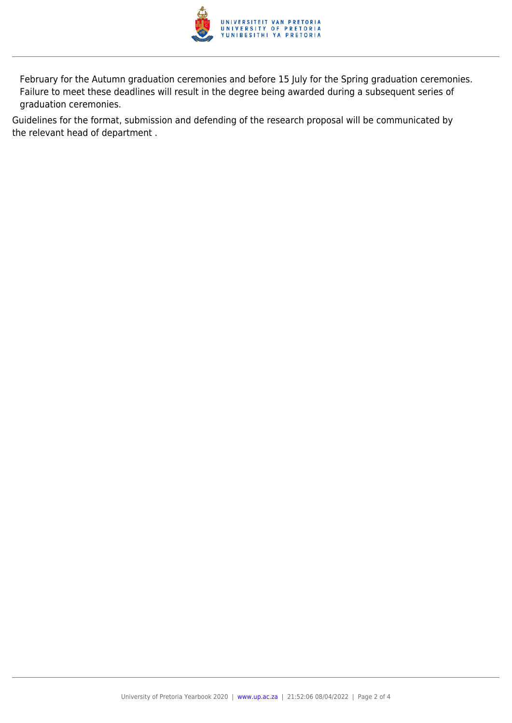

February for the Autumn graduation ceremonies and before 15 July for the Spring graduation ceremonies. Failure to meet these deadlines will result in the degree being awarded during a subsequent series of graduation ceremonies.

Guidelines for the format, submission and defending of the research proposal will be communicated by the relevant head of department .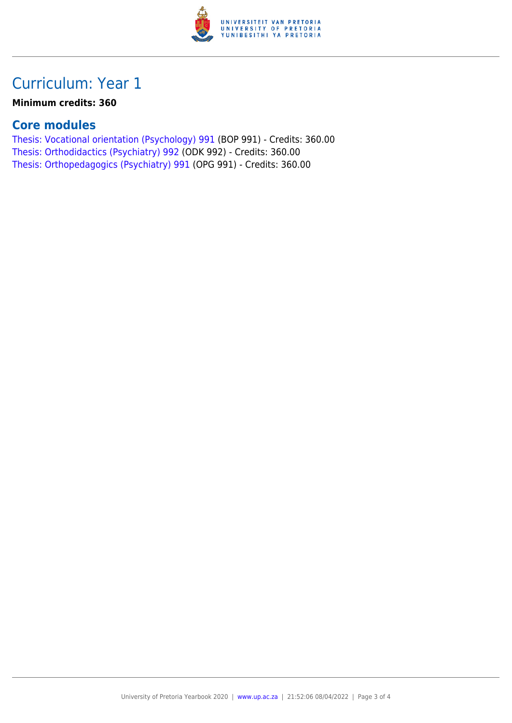

### Curriculum: Year 1

#### **Minimum credits: 360**

#### **Core modules**

[Thesis: Vocational orientation \(Psychology\) 991](https://www.up.ac.za/faculty-of-education/yearbooks/2020/modules/view/BOP 991) (BOP 991) - Credits: 360.00 [Thesis: Orthodidactics \(Psychiatry\) 992](https://www.up.ac.za/faculty-of-education/yearbooks/2020/modules/view/ODK 992) (ODK 992) - Credits: 360.00 [Thesis: Orthopedagogics \(Psychiatry\) 991](https://www.up.ac.za/faculty-of-education/yearbooks/2020/modules/view/OPG 991) (OPG 991) - Credits: 360.00